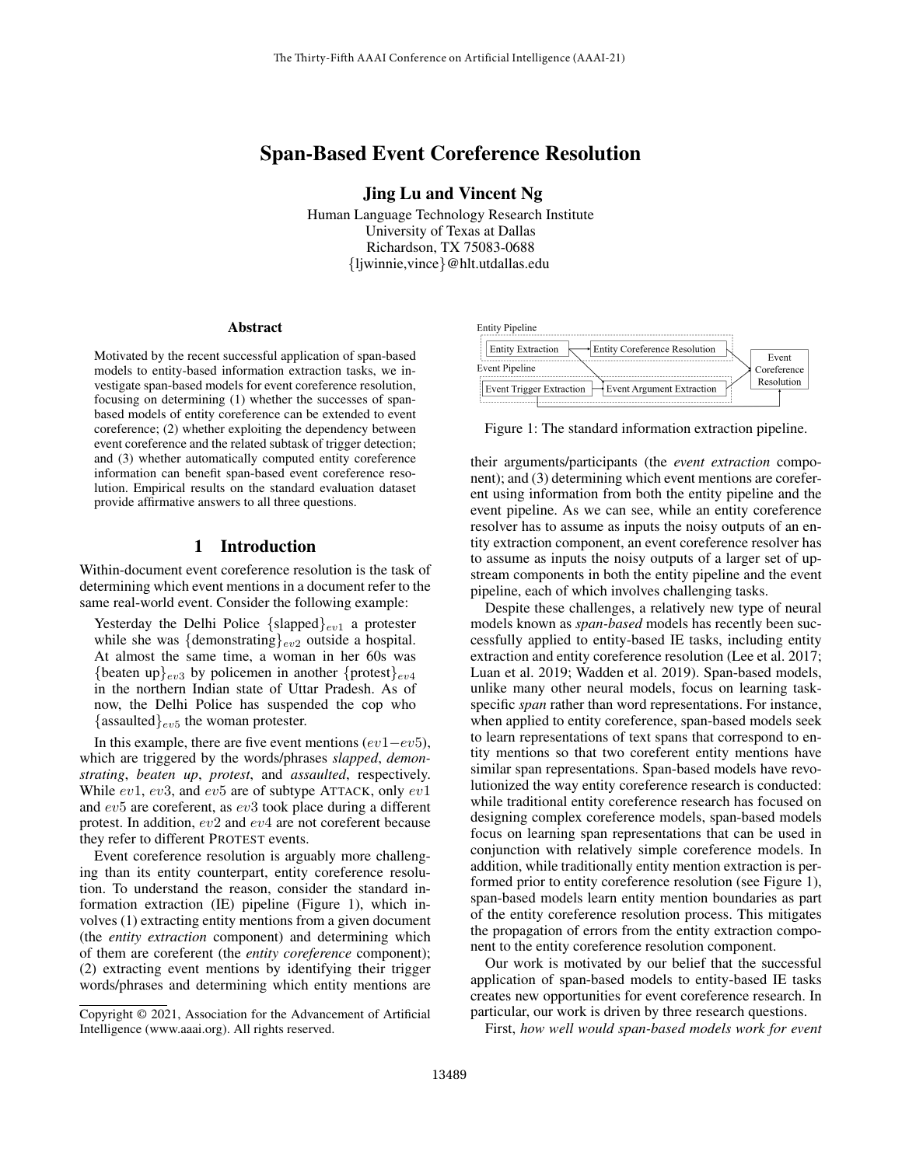# Span-Based Event Coreference Resolution

Jing Lu and Vincent Ng

Human Language Technology Research Institute University of Texas at Dallas Richardson, TX 75083-0688 {ljwinnie,vince}@hlt.utdallas.edu

#### Abstract

Motivated by the recent successful application of span-based models to entity-based information extraction tasks, we investigate span-based models for event coreference resolution, focusing on determining (1) whether the successes of spanbased models of entity coreference can be extended to event coreference; (2) whether exploiting the dependency between event coreference and the related subtask of trigger detection; and (3) whether automatically computed entity coreference information can benefit span-based event coreference resolution. Empirical results on the standard evaluation dataset provide affirmative answers to all three questions.

## 1 Introduction

Within-document event coreference resolution is the task of determining which event mentions in a document refer to the same real-world event. Consider the following example:

Yesterday the Delhi Police  $\{\text{slapped}\}_{ev1}$  a protester while she was  $\{\text{demonstrating}\}_{ev2}$  outside a hospital. At almost the same time, a woman in her 60s was {beaten up}<sub>ev3</sub> by policemen in another {protest}<sub>ev4</sub> in the northern Indian state of Uttar Pradesh. As of now, the Delhi Police has suspended the cop who {assaulted} $_{ev5}$  the woman protester.

In this example, there are five event mentions  $(ev1-ev5)$ , which are triggered by the words/phrases *slapped*, *demonstrating*, *beaten up*, *protest*, and *assaulted*, respectively. While  $ev1$ ,  $ev3$ , and  $ev5$  are of subtype ATTACK, only  $ev1$ and ev5 are coreferent, as ev3 took place during a different protest. In addition, ev2 and ev4 are not coreferent because they refer to different PROTEST events.

Event coreference resolution is arguably more challenging than its entity counterpart, entity coreference resolution. To understand the reason, consider the standard information extraction (IE) pipeline (Figure 1), which involves (1) extracting entity mentions from a given document (the *entity extraction* component) and determining which of them are coreferent (the *entity coreference* component); (2) extracting event mentions by identifying their trigger words/phrases and determining which entity mentions are





Figure 1: The standard information extraction pipeline.

their arguments/participants (the *event extraction* component); and (3) determining which event mentions are coreferent using information from both the entity pipeline and the event pipeline. As we can see, while an entity coreference resolver has to assume as inputs the noisy outputs of an entity extraction component, an event coreference resolver has to assume as inputs the noisy outputs of a larger set of upstream components in both the entity pipeline and the event pipeline, each of which involves challenging tasks.

Despite these challenges, a relatively new type of neural models known as *span-based* models has recently been successfully applied to entity-based IE tasks, including entity extraction and entity coreference resolution (Lee et al. 2017; Luan et al. 2019; Wadden et al. 2019). Span-based models, unlike many other neural models, focus on learning taskspecific *span* rather than word representations. For instance, when applied to entity coreference, span-based models seek to learn representations of text spans that correspond to entity mentions so that two coreferent entity mentions have similar span representations. Span-based models have revolutionized the way entity coreference research is conducted: while traditional entity coreference research has focused on designing complex coreference models, span-based models focus on learning span representations that can be used in conjunction with relatively simple coreference models. In addition, while traditionally entity mention extraction is performed prior to entity coreference resolution (see Figure 1), span-based models learn entity mention boundaries as part of the entity coreference resolution process. This mitigates the propagation of errors from the entity extraction component to the entity coreference resolution component.

Our work is motivated by our belief that the successful application of span-based models to entity-based IE tasks creates new opportunities for event coreference research. In particular, our work is driven by three research questions.

First, *how well would span-based models work for event*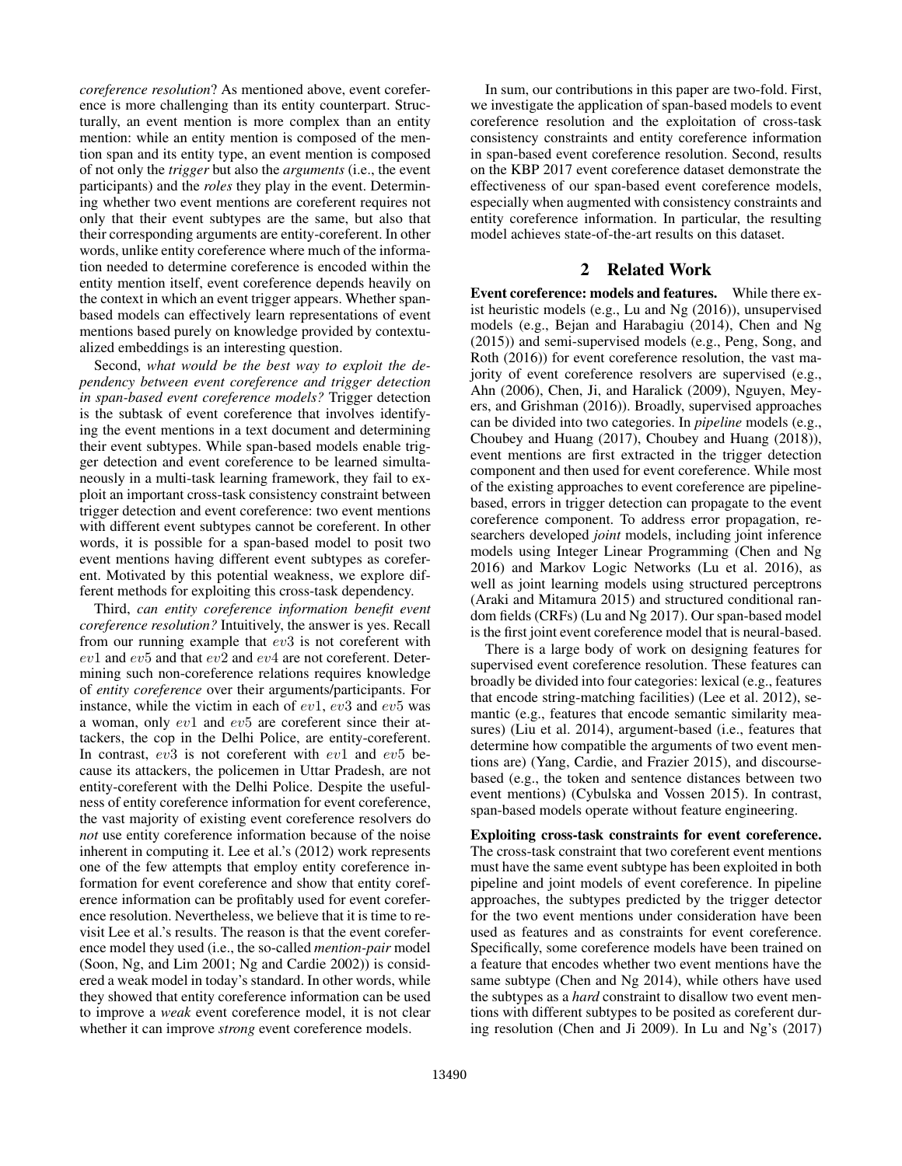*coreference resolution*? As mentioned above, event coreference is more challenging than its entity counterpart. Structurally, an event mention is more complex than an entity mention: while an entity mention is composed of the mention span and its entity type, an event mention is composed of not only the *trigger* but also the *arguments* (i.e., the event participants) and the *roles* they play in the event. Determining whether two event mentions are coreferent requires not only that their event subtypes are the same, but also that their corresponding arguments are entity-coreferent. In other words, unlike entity coreference where much of the information needed to determine coreference is encoded within the entity mention itself, event coreference depends heavily on the context in which an event trigger appears. Whether spanbased models can effectively learn representations of event mentions based purely on knowledge provided by contextualized embeddings is an interesting question.

Second, *what would be the best way to exploit the dependency between event coreference and trigger detection in span-based event coreference models?* Trigger detection is the subtask of event coreference that involves identifying the event mentions in a text document and determining their event subtypes. While span-based models enable trigger detection and event coreference to be learned simultaneously in a multi-task learning framework, they fail to exploit an important cross-task consistency constraint between trigger detection and event coreference: two event mentions with different event subtypes cannot be coreferent. In other words, it is possible for a span-based model to posit two event mentions having different event subtypes as coreferent. Motivated by this potential weakness, we explore different methods for exploiting this cross-task dependency.

Third, *can entity coreference information benefit event coreference resolution?* Intuitively, the answer is yes. Recall from our running example that ev3 is not coreferent with ev1 and ev5 and that ev2 and ev4 are not coreferent. Determining such non-coreference relations requires knowledge of *entity coreference* over their arguments/participants. For instance, while the victim in each of  $ev1$ ,  $ev3$  and  $ev5$  was a woman, only ev1 and ev5 are coreferent since their attackers, the cop in the Delhi Police, are entity-coreferent. In contrast, ev3 is not coreferent with ev1 and ev5 because its attackers, the policemen in Uttar Pradesh, are not entity-coreferent with the Delhi Police. Despite the usefulness of entity coreference information for event coreference, the vast majority of existing event coreference resolvers do *not* use entity coreference information because of the noise inherent in computing it. Lee et al.'s (2012) work represents one of the few attempts that employ entity coreference information for event coreference and show that entity coreference information can be profitably used for event coreference resolution. Nevertheless, we believe that it is time to revisit Lee et al.'s results. The reason is that the event coreference model they used (i.e., the so-called *mention-pair* model (Soon, Ng, and Lim 2001; Ng and Cardie 2002)) is considered a weak model in today's standard. In other words, while they showed that entity coreference information can be used to improve a *weak* event coreference model, it is not clear whether it can improve *strong* event coreference models.

In sum, our contributions in this paper are two-fold. First, we investigate the application of span-based models to event coreference resolution and the exploitation of cross-task consistency constraints and entity coreference information in span-based event coreference resolution. Second, results on the KBP 2017 event coreference dataset demonstrate the effectiveness of our span-based event coreference models, especially when augmented with consistency constraints and entity coreference information. In particular, the resulting model achieves state-of-the-art results on this dataset.

# 2 Related Work

Event coreference: models and features. While there exist heuristic models (e.g., Lu and Ng (2016)), unsupervised models (e.g., Bejan and Harabagiu (2014), Chen and Ng (2015)) and semi-supervised models (e.g., Peng, Song, and Roth (2016)) for event coreference resolution, the vast majority of event coreference resolvers are supervised (e.g., Ahn (2006), Chen, Ji, and Haralick (2009), Nguyen, Meyers, and Grishman (2016)). Broadly, supervised approaches can be divided into two categories. In *pipeline* models (e.g., Choubey and Huang (2017), Choubey and Huang (2018)), event mentions are first extracted in the trigger detection component and then used for event coreference. While most of the existing approaches to event coreference are pipelinebased, errors in trigger detection can propagate to the event coreference component. To address error propagation, researchers developed *joint* models, including joint inference models using Integer Linear Programming (Chen and Ng 2016) and Markov Logic Networks (Lu et al. 2016), as well as joint learning models using structured perceptrons (Araki and Mitamura 2015) and structured conditional random fields (CRFs) (Lu and Ng 2017). Our span-based model is the first joint event coreference model that is neural-based.

There is a large body of work on designing features for supervised event coreference resolution. These features can broadly be divided into four categories: lexical (e.g., features that encode string-matching facilities) (Lee et al. 2012), semantic (e.g., features that encode semantic similarity measures) (Liu et al. 2014), argument-based (i.e., features that determine how compatible the arguments of two event mentions are) (Yang, Cardie, and Frazier 2015), and discoursebased (e.g., the token and sentence distances between two event mentions) (Cybulska and Vossen 2015). In contrast, span-based models operate without feature engineering.

# Exploiting cross-task constraints for event coreference.

The cross-task constraint that two coreferent event mentions must have the same event subtype has been exploited in both pipeline and joint models of event coreference. In pipeline approaches, the subtypes predicted by the trigger detector for the two event mentions under consideration have been used as features and as constraints for event coreference. Specifically, some coreference models have been trained on a feature that encodes whether two event mentions have the same subtype (Chen and Ng 2014), while others have used the subtypes as a *hard* constraint to disallow two event mentions with different subtypes to be posited as coreferent during resolution (Chen and Ji 2009). In Lu and Ng's (2017)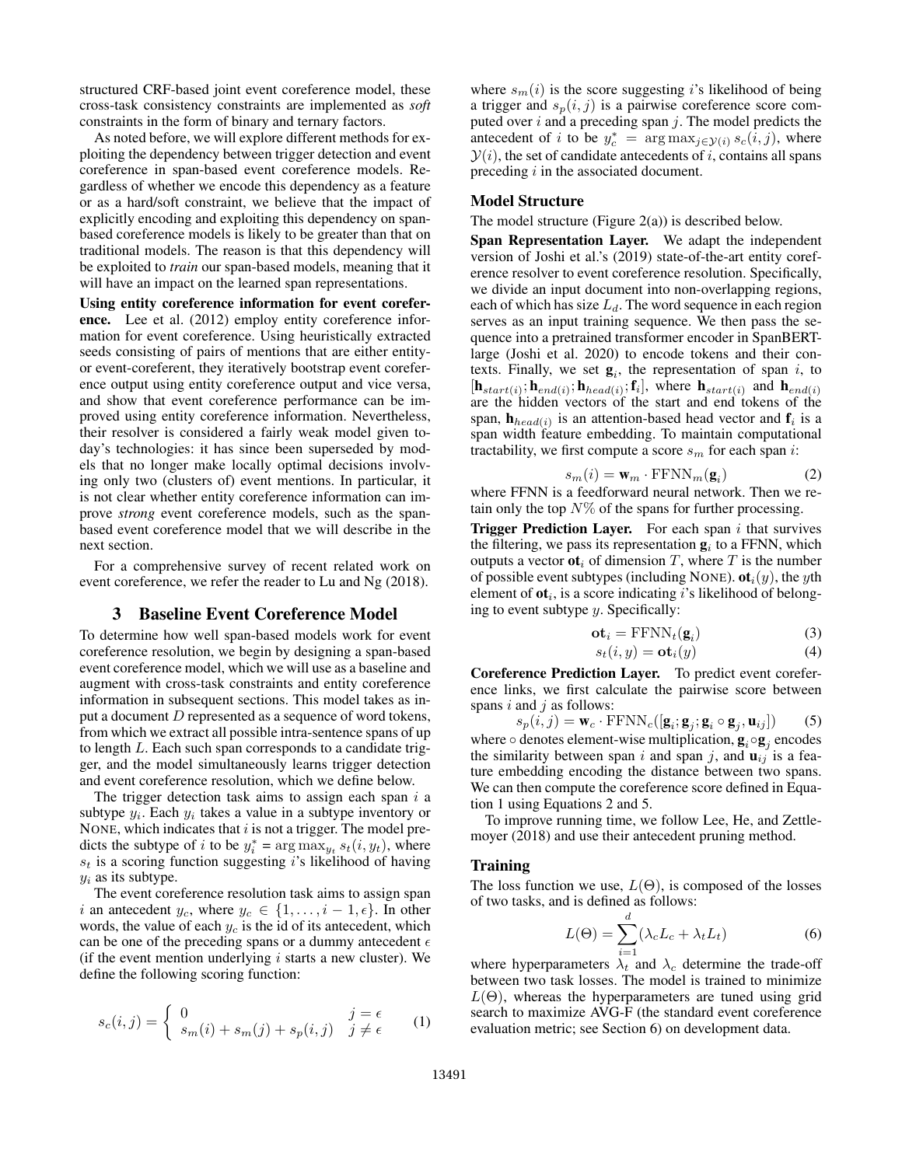structured CRF-based joint event coreference model, these cross-task consistency constraints are implemented as *soft* constraints in the form of binary and ternary factors.

As noted before, we will explore different methods for exploiting the dependency between trigger detection and event coreference in span-based event coreference models. Regardless of whether we encode this dependency as a feature or as a hard/soft constraint, we believe that the impact of explicitly encoding and exploiting this dependency on spanbased coreference models is likely to be greater than that on traditional models. The reason is that this dependency will be exploited to *train* our span-based models, meaning that it will have an impact on the learned span representations.

Using entity coreference information for event coreference. Lee et al. (2012) employ entity coreference information for event coreference. Using heuristically extracted seeds consisting of pairs of mentions that are either entityor event-coreferent, they iteratively bootstrap event coreference output using entity coreference output and vice versa, and show that event coreference performance can be improved using entity coreference information. Nevertheless, their resolver is considered a fairly weak model given today's technologies: it has since been superseded by models that no longer make locally optimal decisions involving only two (clusters of) event mentions. In particular, it is not clear whether entity coreference information can improve *strong* event coreference models, such as the spanbased event coreference model that we will describe in the next section.

For a comprehensive survey of recent related work on event coreference, we refer the reader to Lu and Ng (2018).

## 3 Baseline Event Coreference Model

To determine how well span-based models work for event coreference resolution, we begin by designing a span-based event coreference model, which we will use as a baseline and augment with cross-task constraints and entity coreference information in subsequent sections. This model takes as input a document D represented as a sequence of word tokens, from which we extract all possible intra-sentence spans of up to length L. Each such span corresponds to a candidate trigger, and the model simultaneously learns trigger detection and event coreference resolution, which we define below.

The trigger detection task aims to assign each span  $i$  a subtype  $y_i$ . Each  $y_i$  takes a value in a subtype inventory or NONE, which indicates that  $i$  is not a trigger. The model predicts the subtype of i to be  $y_i^* = \arg \max_{y_t} s_t(i, y_t)$ , where  $s_t$  is a scoring function suggesting i's likelihood of having  $y_i$  as its subtype.

The event coreference resolution task aims to assign span i an antecedent  $y_c$ , where  $y_c \in \{1, \ldots, i-1, \epsilon\}$ . In other words, the value of each  $y_c$  is the id of its antecedent, which can be one of the preceding spans or a dummy antecedent  $\epsilon$ (if the event mention underlying  $i$  starts a new cluster). We define the following scoring function:

$$
s_c(i,j) = \begin{cases} 0 & j = \epsilon \\ s_m(i) + s_m(j) + s_p(i,j) & j \neq \epsilon \end{cases}
$$
 (1)

where  $s_m(i)$  is the score suggesting i's likelihood of being a trigger and  $s_p(i, j)$  is a pairwise coreference score computed over  $i$  and a preceding span  $j$ . The model predicts the antecedent of i to be  $y_c^* = \arg \max_{j \in \mathcal{Y}(i)} s_c(i, j)$ , where  $\mathcal{Y}(i)$ , the set of candidate antecedents of i, contains all spans preceding  $i$  in the associated document.

#### Model Structure

The model structure (Figure 2(a)) is described below.

Span Representation Layer. We adapt the independent version of Joshi et al.'s (2019) state-of-the-art entity coreference resolver to event coreference resolution. Specifically, we divide an input document into non-overlapping regions, each of which has size  $L_d$ . The word sequence in each region serves as an input training sequence. We then pass the sequence into a pretrained transformer encoder in SpanBERTlarge (Joshi et al. 2020) to encode tokens and their contexts. Finally, we set  $g_i$ , the representation of span i, to  $[\mathbf{h}_{start(i)}; \mathbf{h}_{end(i)}; \mathbf{h}_{head(i)}; \mathbf{f}_i]$ , where  $\mathbf{h}_{start(i)}$  and  $\mathbf{h}_{end(i)}$ are the hidden vectors of the start and end tokens of the span,  $h_{head(i)}$  is an attention-based head vector and  $f_i$  is a span width feature embedding. To maintain computational tractability, we first compute a score  $s_m$  for each span i:

$$
s_m(i) = \mathbf{w}_m \cdot \text{FFNN}_m(\mathbf{g}_i)
$$
 (2)

where FFNN is a feedforward neural network. Then we retain only the top  $N\%$  of the spans for further processing.

**Trigger Prediction Layer.** For each span  $i$  that survives the filtering, we pass its representation  $\mathbf{g}_i$  to a FFNN, which outputs a vector  $\mathbf{ot}_i$  of dimension T, where T is the number of possible event subtypes (including NONE).  $ot_i(y)$ , the yth element of  $ot_i$ , is a score indicating i's likelihood of belonging to event subtype  $y$ . Specifically:

$$
\mathbf{ot}_i = \text{FFNN}_t(\mathbf{g}_i) \tag{3}
$$

$$
s_t(i, y) = \mathbf{ot}_i(y) \tag{4}
$$

Coreference Prediction Layer. To predict event coreference links, we first calculate the pairwise score between spans  $i$  and  $j$  as follows:

 $s_p(i,j) = \mathbf{w}_c \cdot \text{FFNN}_c([\mathbf{g}_i; \mathbf{g}_j; \mathbf{g}_i \circ \mathbf{g}_j, \mathbf{u}_{ij}])$  (5) where  $\circ$  denotes element-wise multiplication,  $\mathbf{g}_i \circ \mathbf{g}_j$  encodes the similarity between span i and span j, and  $\mathbf{u}_{ij}$  is a feature embedding encoding the distance between two spans. We can then compute the coreference score defined in Equation 1 using Equations 2 and 5.

To improve running time, we follow Lee, He, and Zettlemoyer (2018) and use their antecedent pruning method.

#### Training

The loss function we use,  $L(\Theta)$ , is composed of the losses of two tasks, and is defined as follows:

$$
L(\Theta) = \sum_{i=1}^{d} (\lambda_c L_c + \lambda_t L_t)
$$
 (6)

where hyperparameters  $\lambda_t$  and  $\lambda_c$  determine the trade-off between two task losses. The model is trained to minimize  $L(\Theta)$ , whereas the hyperparameters are tuned using grid search to maximize AVG-F (the standard event coreference evaluation metric; see Section 6) on development data.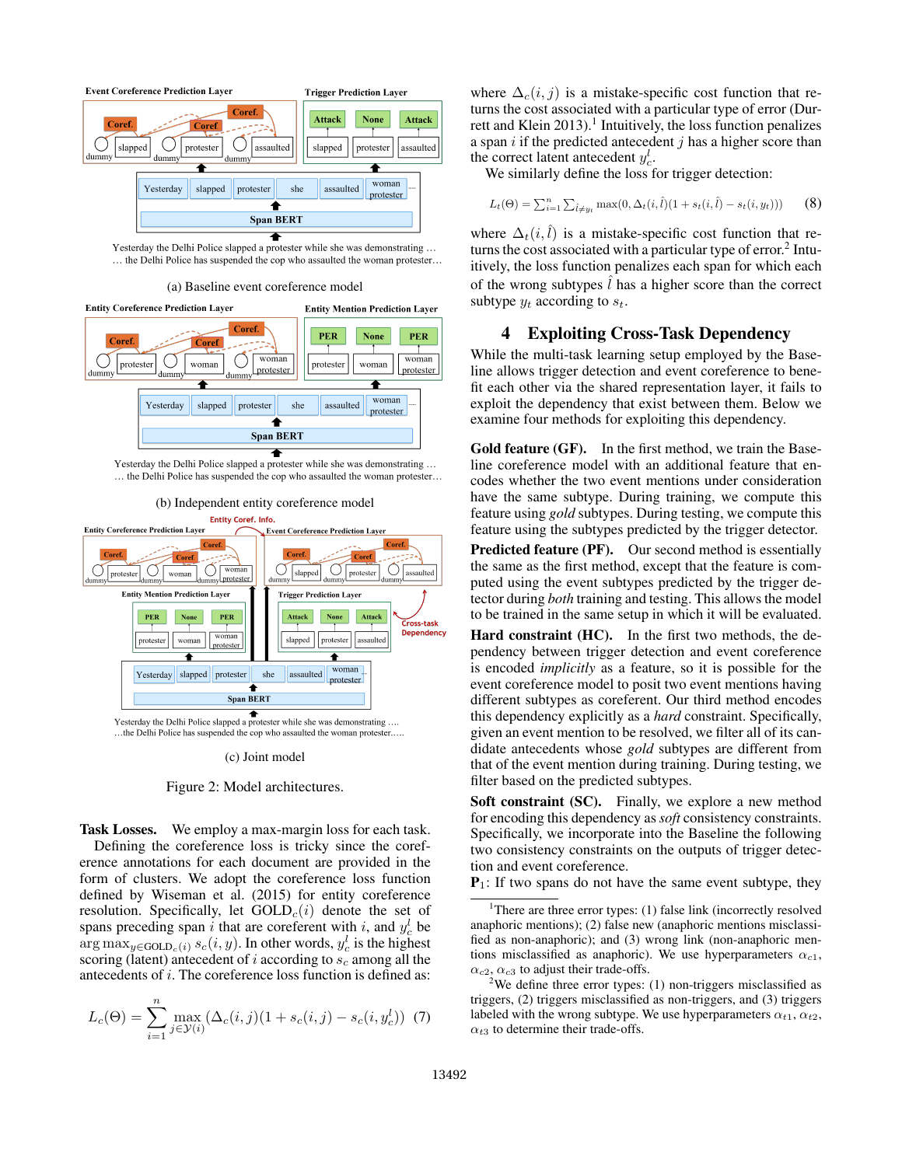

Yesterday the Delhi Police slapped a protester while she was demonstrating ... ... the Delhi Police has suspended the cop who assaulted the woman protester...

(a) Baseline event coreference model



Yesterday the Delhi Police slapped a protester while she was demonstrating ... ... the Delhi Police has suspended the cop who assaulted the woman protester...



...the Delhi Police has suspended the cop who assaulted the woman protester.....

(c) Joint model



Task Losses. We employ a max-margin loss for each task. Defining the coreference loss is tricky since the coreference annotations for each document are provided in the form of clusters. We adopt the coreference loss function defined by Wiseman et al. (2015) for entity coreference resolution. Specifically, let  $GOLD<sub>c</sub>(i)$  denote the set of spans preceding span i that are coreferent with i, and  $y_c^l$  be  $\arg \max_{y \in \text{GOLD}_c(i)} s_c(i, y)$ . In other words,  $y_c^l$  is the highest scoring (latent) antecedent of i according to  $s_c$  among all the antecedents of i. The coreference loss function is defined as:

$$
L_c(\Theta) = \sum_{i=1}^n \max_{j \in \mathcal{Y}(i)} (\Delta_c(i,j)(1 + s_c(i,j) - s_c(i,y_c^l))
$$
 (7)

where  $\Delta_c(i, j)$  is a mistake-specific cost function that returns the cost associated with a particular type of error (Durrett and Klein 2013).<sup>1</sup> Intuitively, the loss function penalizes a span  $i$  if the predicted antecedent  $j$  has a higher score than the correct latent antecedent  $y_c^l$ .

We similarly define the loss for trigger detection:

$$
L_t(\Theta) = \sum_{i=1}^n \sum_{\hat{l} \neq y_t} \max(0, \Delta_t(i, \hat{l})(1 + s_t(i, \hat{l}) - s_t(i, y_t))) \tag{8}
$$

where  $\Delta_t(i, \hat{l})$  is a mistake-specific cost function that returns the cost associated with a particular type of error.<sup>2</sup> Intuitively, the loss function penalizes each span for which each of the wrong subtypes  $\hat{l}$  has a higher score than the correct subtype  $y_t$  according to  $s_t$ .

### 4 Exploiting Cross-Task Dependency

While the multi-task learning setup employed by the Baseline allows trigger detection and event coreference to benefit each other via the shared representation layer, it fails to exploit the dependency that exist between them. Below we examine four methods for exploiting this dependency.

Gold feature (GF). In the first method, we train the Baseline coreference model with an additional feature that encodes whether the two event mentions under consideration have the same subtype. During training, we compute this feature using *gold* subtypes. During testing, we compute this feature using the subtypes predicted by the trigger detector.

Predicted feature (PF). Our second method is essentially the same as the first method, except that the feature is computed using the event subtypes predicted by the trigger detector during *both* training and testing. This allows the model to be trained in the same setup in which it will be evaluated.

Hard constraint (HC). In the first two methods, the dependency between trigger detection and event coreference is encoded *implicitly* as a feature, so it is possible for the event coreference model to posit two event mentions having different subtypes as coreferent. Our third method encodes this dependency explicitly as a *hard* constraint. Specifically, given an event mention to be resolved, we filter all of its candidate antecedents whose *gold* subtypes are different from that of the event mention during training. During testing, we filter based on the predicted subtypes.

Soft constraint (SC). Finally, we explore a new method for encoding this dependency as *soft* consistency constraints. Specifically, we incorporate into the Baseline the following two consistency constraints on the outputs of trigger detection and event coreference.

 $P_1$ : If two spans do not have the same event subtype, they

<sup>1</sup>There are three error types: (1) false link (incorrectly resolved anaphoric mentions); (2) false new (anaphoric mentions misclassified as non-anaphoric); and (3) wrong link (non-anaphoric mentions misclassified as anaphoric). We use hyperparameters  $\alpha_{c1}$ ,  $\alpha_{c2}, \alpha_{c3}$  to adjust their trade-offs.

<sup>&</sup>lt;sup>2</sup>We define three error types:  $(1)$  non-triggers misclassified as triggers, (2) triggers misclassified as non-triggers, and (3) triggers labeled with the wrong subtype. We use hyperparameters  $\alpha_{t1}, \alpha_{t2}$ ,  $\alpha_{t3}$  to determine their trade-offs.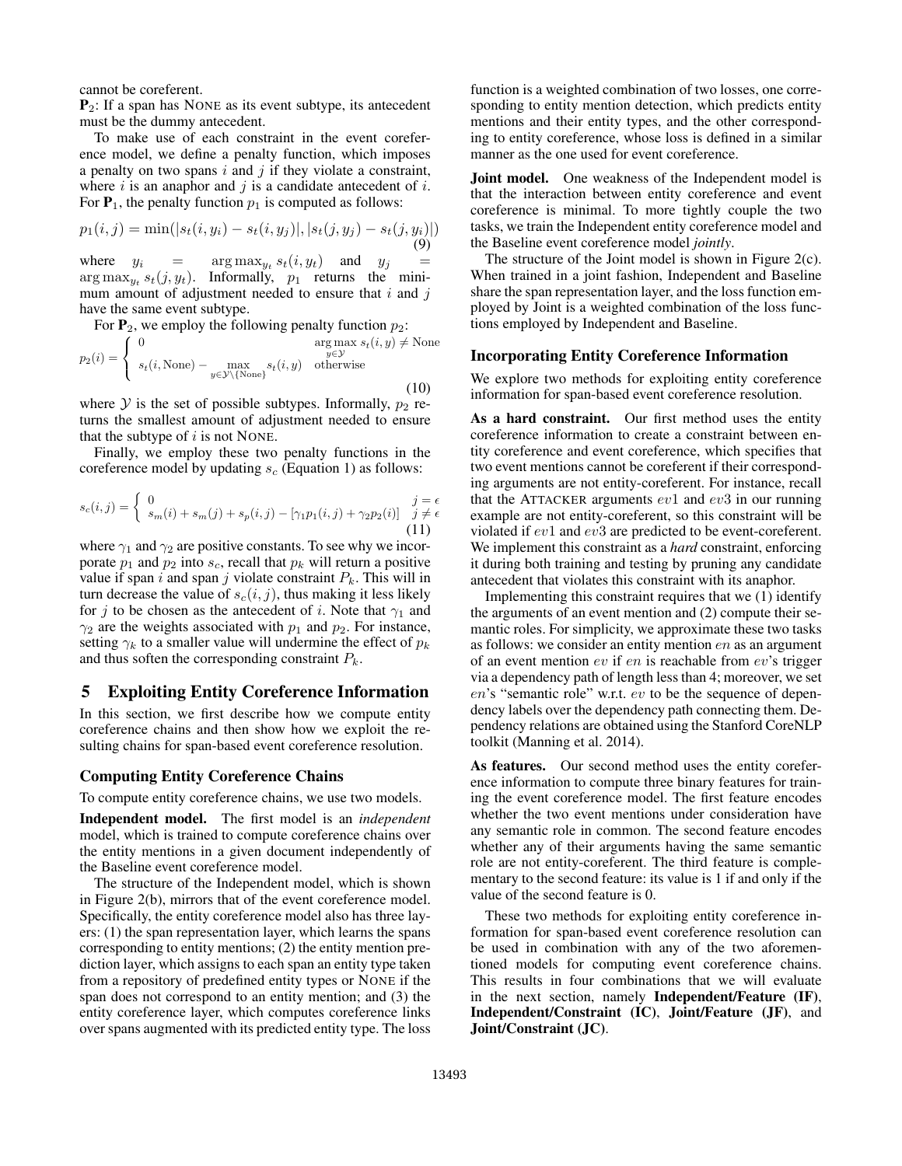cannot be coreferent.

 $P_2$ : If a span has NONE as its event subtype, its antecedent must be the dummy antecedent.

To make use of each constraint in the event coreference model, we define a penalty function, which imposes a penalty on two spans  $i$  and  $j$  if they violate a constraint, where  $i$  is an anaphor and  $j$  is a candidate antecedent of  $i$ . For  $P_1$ , the penalty function  $p_1$  is computed as follows:

$$
p_1(i,j) = \min(|s_t(i, y_i) - s_t(i, y_j)|, |s_t(j, y_j) - s_t(j, y_i)|)
$$
  
(9)

where  $y_i =$  $\arg \max_{y_t} s_t(i, y_t)$  and  $y_j$  $\arg \max_{y_t} s_t(j, y_t)$ . Informally,  $p_1$  returns the minimum amount of adjustment needed to ensure that  $i$  and  $j$ have the same event subtype.

For  $P_2$ , we employ the following penalty function  $p_2$ :

$$
p_2(i) = \begin{cases} 0 & \text{arg max } s_t(i, y) \neq \text{None} \\ s_t(i, \text{None}) - \max_{y \in \mathcal{Y} \setminus \{\text{None}\}} s_t(i, y) & \text{otherwise} \end{cases}
$$
(10)

where  $Y$  is the set of possible subtypes. Informally,  $p_2$  returns the smallest amount of adjustment needed to ensure that the subtype of  $i$  is not NONE.

Finally, we employ these two penalty functions in the coreference model by updating  $s_c$  (Equation 1) as follows:

$$
s_c(i,j) = \begin{cases} 0 & j = \epsilon \\ s_m(i) + s_m(j) + s_p(i,j) - [\gamma_1 p_1(i,j) + \gamma_2 p_2(i)] & j \neq \epsilon \end{cases}
$$
(11)

where  $\gamma_1$  and  $\gamma_2$  are positive constants. To see why we incorporate  $p_1$  and  $p_2$  into  $s_c$ , recall that  $p_k$  will return a positive value if span i and span j violate constraint  $P_k$ . This will in turn decrease the value of  $s_c(i, j)$ , thus making it less likely for j to be chosen as the antecedent of i. Note that  $\gamma_1$  and  $\gamma_2$  are the weights associated with  $p_1$  and  $p_2$ . For instance, setting  $\gamma_k$  to a smaller value will undermine the effect of  $p_k$ and thus soften the corresponding constraint  $P_k$ .

# 5 Exploiting Entity Coreference Information

In this section, we first describe how we compute entity coreference chains and then show how we exploit the resulting chains for span-based event coreference resolution.

#### Computing Entity Coreference Chains

To compute entity coreference chains, we use two models.

Independent model. The first model is an *independent* model, which is trained to compute coreference chains over the entity mentions in a given document independently of the Baseline event coreference model.

The structure of the Independent model, which is shown in Figure 2(b), mirrors that of the event coreference model. Specifically, the entity coreference model also has three layers: (1) the span representation layer, which learns the spans corresponding to entity mentions; (2) the entity mention prediction layer, which assigns to each span an entity type taken from a repository of predefined entity types or NONE if the span does not correspond to an entity mention; and (3) the entity coreference layer, which computes coreference links over spans augmented with its predicted entity type. The loss

function is a weighted combination of two losses, one corresponding to entity mention detection, which predicts entity mentions and their entity types, and the other corresponding to entity coreference, whose loss is defined in a similar manner as the one used for event coreference.

Joint model. One weakness of the Independent model is that the interaction between entity coreference and event coreference is minimal. To more tightly couple the two tasks, we train the Independent entity coreference model and the Baseline event coreference model *jointly*.

The structure of the Joint model is shown in Figure 2(c). When trained in a joint fashion, Independent and Baseline share the span representation layer, and the loss function employed by Joint is a weighted combination of the loss functions employed by Independent and Baseline.

#### Incorporating Entity Coreference Information

We explore two methods for exploiting entity coreference information for span-based event coreference resolution.

As a hard constraint. Our first method uses the entity coreference information to create a constraint between entity coreference and event coreference, which specifies that two event mentions cannot be coreferent if their corresponding arguments are not entity-coreferent. For instance, recall that the ATTACKER arguments  $ev1$  and  $ev3$  in our running example are not entity-coreferent, so this constraint will be violated if ev1 and ev3 are predicted to be event-coreferent. We implement this constraint as a *hard* constraint, enforcing it during both training and testing by pruning any candidate antecedent that violates this constraint with its anaphor.

Implementing this constraint requires that we (1) identify the arguments of an event mention and (2) compute their semantic roles. For simplicity, we approximate these two tasks as follows: we consider an entity mention en as an argument of an event mention  $ev$  if  $en$  is reachable from  $ev$ 's trigger via a dependency path of length less than 4; moreover, we set en's "semantic role" w.r.t. ev to be the sequence of dependency labels over the dependency path connecting them. Dependency relations are obtained using the Stanford CoreNLP toolkit (Manning et al. 2014).

As features. Our second method uses the entity coreference information to compute three binary features for training the event coreference model. The first feature encodes whether the two event mentions under consideration have any semantic role in common. The second feature encodes whether any of their arguments having the same semantic role are not entity-coreferent. The third feature is complementary to the second feature: its value is 1 if and only if the value of the second feature is 0.

These two methods for exploiting entity coreference information for span-based event coreference resolution can be used in combination with any of the two aforementioned models for computing event coreference chains. This results in four combinations that we will evaluate in the next section, namely Independent/Feature (IF), Independent/Constraint (IC), Joint/Feature (JF), and Joint/Constraint (JC).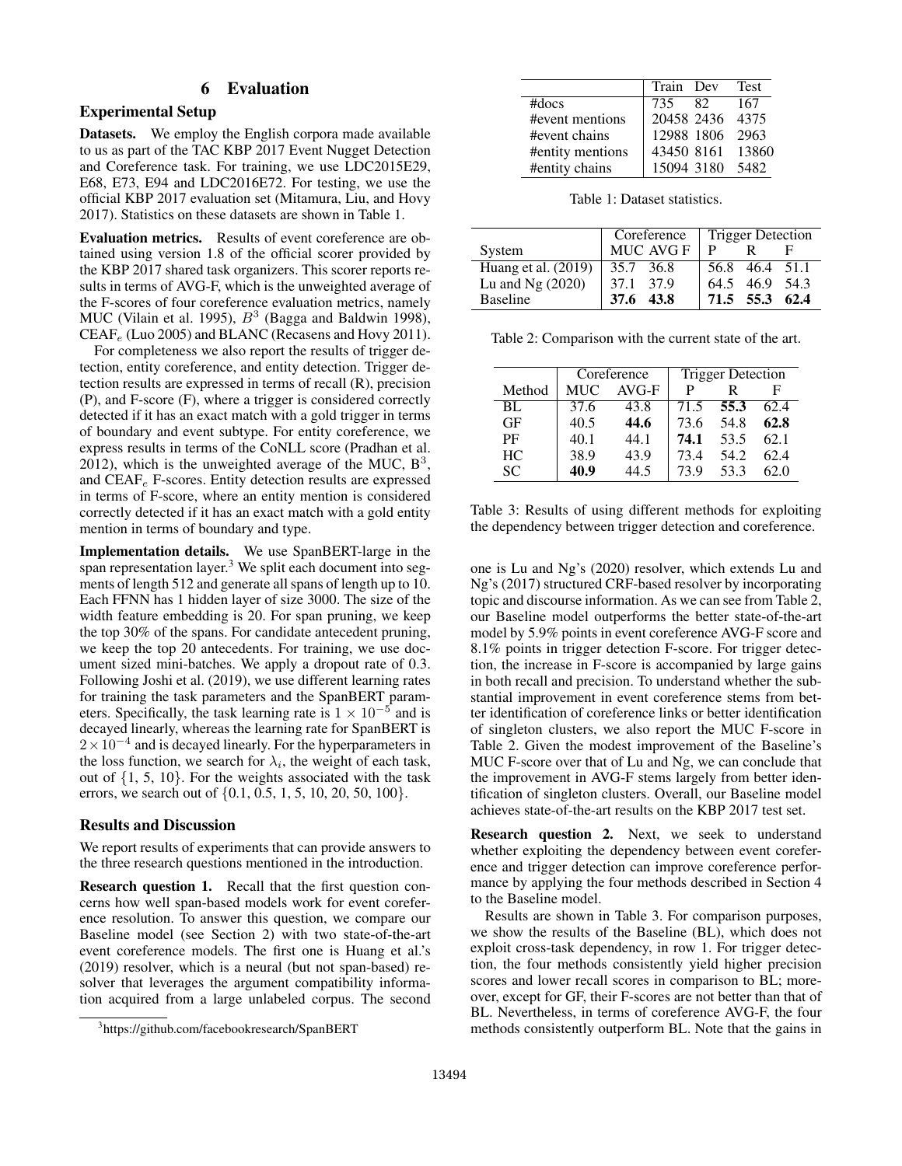# 6 Evaluation

#### Experimental Setup

Datasets. We employ the English corpora made available to us as part of the TAC KBP 2017 Event Nugget Detection and Coreference task. For training, we use LDC2015E29, E68, E73, E94 and LDC2016E72. For testing, we use the official KBP 2017 evaluation set (Mitamura, Liu, and Hovy 2017). Statistics on these datasets are shown in Table 1.

Evaluation metrics. Results of event coreference are obtained using version 1.8 of the official scorer provided by the KBP 2017 shared task organizers. This scorer reports results in terms of AVG-F, which is the unweighted average of the F-scores of four coreference evaluation metrics, namely MUC (Vilain et al. 1995),  $B^3$  (Bagga and Baldwin 1998),  $CEAF_e$  (Luo 2005) and BLANC (Recasens and Hovy 2011).

For completeness we also report the results of trigger detection, entity coreference, and entity detection. Trigger detection results are expressed in terms of recall (R), precision (P), and F-score (F), where a trigger is considered correctly detected if it has an exact match with a gold trigger in terms of boundary and event subtype. For entity coreference, we express results in terms of the CoNLL score (Pradhan et al. 2012), which is the unweighted average of the MUC,  $B^3$ , and  $CEAF_e$  F-scores. Entity detection results are expressed in terms of F-score, where an entity mention is considered correctly detected if it has an exact match with a gold entity mention in terms of boundary and type.

Implementation details. We use SpanBERT-large in the span representation layer.<sup>3</sup> We split each document into segments of length 512 and generate all spans of length up to 10. Each FFNN has 1 hidden layer of size 3000. The size of the width feature embedding is 20. For span pruning, we keep the top 30% of the spans. For candidate antecedent pruning, we keep the top 20 antecedents. For training, we use document sized mini-batches. We apply a dropout rate of 0.3. Following Joshi et al. (2019), we use different learning rates for training the task parameters and the SpanBERT parameters. Specifically, the task learning rate is  $1 \times 10^{-5}$  and is decayed linearly, whereas the learning rate for SpanBERT is  $2 \times 10^{-4}$  and is decayed linearly. For the hyperparameters in the loss function, we search for  $\lambda_i$ , the weight of each task, out of {1, 5, 10}. For the weights associated with the task errors, we search out of {0.1, 0.5, 1, 5, 10, 20, 50, 100}.

### Results and Discussion

We report results of experiments that can provide answers to the three research questions mentioned in the introduction.

Research question 1. Recall that the first question concerns how well span-based models work for event coreference resolution. To answer this question, we compare our Baseline model (see Section 2) with two state-of-the-art event coreference models. The first one is Huang et al.'s (2019) resolver, which is a neural (but not span-based) resolver that leverages the argument compatibility information acquired from a large unlabeled corpus. The second

|                  | Train Dev  |    | Test             |
|------------------|------------|----|------------------|
| $#$ docs         | 735        | 82 | 167              |
| #event mentions  | 20458 2436 |    | 4375             |
| #event chains    | 12988 1806 |    | 2963             |
| #entity mentions |            |    | 43450 8161 13860 |
| #entity chains   | 15094 3180 |    | 5482             |

Table 1: Dataset statistics.

|                       | Coreference  | <b>Trigger Detection</b> |  |  |  |  |
|-----------------------|--------------|--------------------------|--|--|--|--|
| System                | MUC AVG F    | р                        |  |  |  |  |
| Huang et al. $(2019)$ | 35.7 36.8    | 56.8 46.4 51.1           |  |  |  |  |
| Lu and $Ng(2020)$     | 37.1 37.9    | 64.5 46.9 54.3           |  |  |  |  |
| <b>Baseline</b>       | 43.8<br>37.6 | 71.5 55.3 62.4           |  |  |  |  |

Table 2: Comparison with the current state of the art.

|        |      | Coreference | <b>Trigger Detection</b> |      |      |  |  |
|--------|------|-------------|--------------------------|------|------|--|--|
| Method | MUC  | $AVG-F$     | Р                        | R    | F    |  |  |
| BL     | 37.6 | 43.8        | 71.5                     | 55.3 | 62.4 |  |  |
| GF     | 40.5 | 44.6        | 73.6                     | 54.8 | 62.8 |  |  |
| PF     | 40.1 | 44.1        | 74.1                     | 53.5 | 62.1 |  |  |
| HC.    | 38.9 | 43.9        | 73.4                     | 54.2 | 62.4 |  |  |
| SС     | 40.9 | 44.5        | 73.9                     | 53.3 | 62.0 |  |  |

Table 3: Results of using different methods for exploiting the dependency between trigger detection and coreference.

one is Lu and Ng's (2020) resolver, which extends Lu and Ng's (2017) structured CRF-based resolver by incorporating topic and discourse information. As we can see from Table 2, our Baseline model outperforms the better state-of-the-art model by 5.9% points in event coreference AVG-F score and 8.1% points in trigger detection F-score. For trigger detection, the increase in F-score is accompanied by large gains in both recall and precision. To understand whether the substantial improvement in event coreference stems from better identification of coreference links or better identification of singleton clusters, we also report the MUC F-score in Table 2. Given the modest improvement of the Baseline's MUC F-score over that of Lu and Ng, we can conclude that the improvement in AVG-F stems largely from better identification of singleton clusters. Overall, our Baseline model achieves state-of-the-art results on the KBP 2017 test set.

Research question 2. Next, we seek to understand whether exploiting the dependency between event coreference and trigger detection can improve coreference performance by applying the four methods described in Section 4 to the Baseline model.

Results are shown in Table 3. For comparison purposes, we show the results of the Baseline (BL), which does not exploit cross-task dependency, in row 1. For trigger detection, the four methods consistently yield higher precision scores and lower recall scores in comparison to BL; moreover, except for GF, their F-scores are not better than that of BL. Nevertheless, in terms of coreference AVG-F, the four methods consistently outperform BL. Note that the gains in

<sup>3</sup> https://github.com/facebookresearch/SpanBERT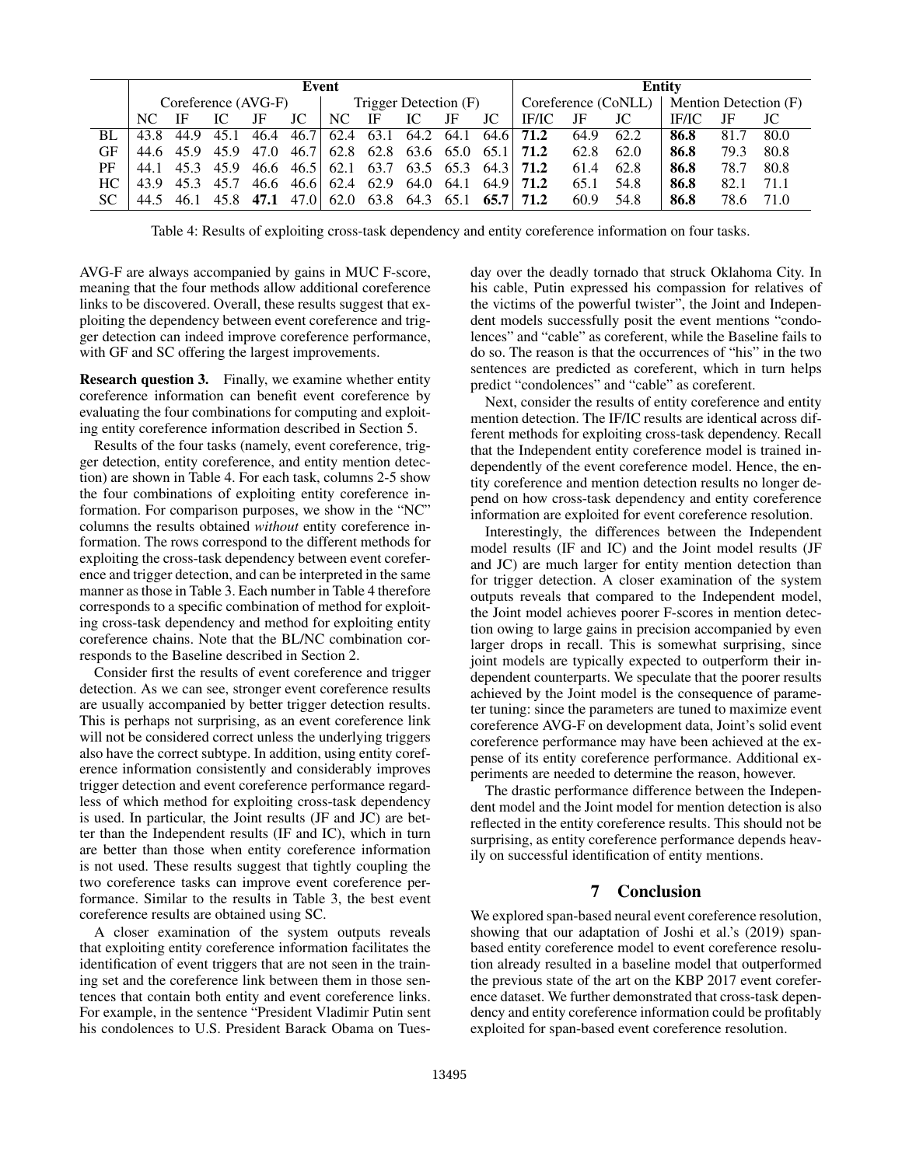|     | Event               |                          |      |      |           |                                                                       |                          |    | Entity |                     |                               |      |                       |              |      |      |
|-----|---------------------|--------------------------|------|------|-----------|-----------------------------------------------------------------------|--------------------------|----|--------|---------------------|-------------------------------|------|-----------------------|--------------|------|------|
|     | Coreference (AVG-F) |                          |      |      |           | Trigger Detection (F)                                                 |                          |    |        | Coreference (CoNLL) |                               |      | Mention Detection (F) |              |      |      |
|     | NC.                 |                          | IС   | JF   | JC        | NC.                                                                   | IF                       | IC | JF     | JC                  | IF/IC                         | -JF  | JC                    | <b>IF/IC</b> | JF   |      |
| BL. |                     | 43.8 44.9 45.1           |      | 46.4 | 46.7      |                                                                       |                          |    |        |                     | 62.4 63.1 64.2 64.1 64.6 71.2 | 64.9 | 62.2                  | 86.8         | 81.7 | 80.0 |
| GF  |                     | 44.6 45.9 45.9 47.0      |      |      | 46.7      |                                                                       |                          |    |        |                     | 62.8 62.8 63.6 65.0 65.1 71.2 | 62.8 | 62.0                  | 86.8         | 79.3 | 80.8 |
| PF  | 44.1                |                          |      |      |           | 45.3 45.9 46.6 46.5 62.1 63.7 63.5 65.3 64.3 71.2                     |                          |    |        |                     |                               | 61.4 | 62.8                  | 86.8         | 78.7 | 80.8 |
| HC  |                     | 43.9 45.3                | 45.7 |      | 46.6 46.6 | $\begin{bmatrix} 62.4 & 62.9 & 64.0 & 64.1 & 64.9 \end{bmatrix}$ 71.2 |                          |    |        |                     |                               | 65.1 | 54.8                  | 86.8         | 82.1 | 71.1 |
| SC  |                     | 44.5 46.1 45.8 47.1 47.0 |      |      |           |                                                                       | 62.0 63.8 64.3 65.1 65.7 |    |        |                     | 71.2                          | 60.9 | 54.8                  | 86.8         | 78.6 | 71.0 |

Table 4: Results of exploiting cross-task dependency and entity coreference information on four tasks.

AVG-F are always accompanied by gains in MUC F-score, meaning that the four methods allow additional coreference links to be discovered. Overall, these results suggest that exploiting the dependency between event coreference and trigger detection can indeed improve coreference performance, with GF and SC offering the largest improvements.

Research question 3. Finally, we examine whether entity coreference information can benefit event coreference by evaluating the four combinations for computing and exploiting entity coreference information described in Section 5.

Results of the four tasks (namely, event coreference, trigger detection, entity coreference, and entity mention detection) are shown in Table 4. For each task, columns 2-5 show the four combinations of exploiting entity coreference information. For comparison purposes, we show in the "NC" columns the results obtained *without* entity coreference information. The rows correspond to the different methods for exploiting the cross-task dependency between event coreference and trigger detection, and can be interpreted in the same manner as those in Table 3. Each number in Table 4 therefore corresponds to a specific combination of method for exploiting cross-task dependency and method for exploiting entity coreference chains. Note that the BL/NC combination corresponds to the Baseline described in Section 2.

Consider first the results of event coreference and trigger detection. As we can see, stronger event coreference results are usually accompanied by better trigger detection results. This is perhaps not surprising, as an event coreference link will not be considered correct unless the underlying triggers also have the correct subtype. In addition, using entity coreference information consistently and considerably improves trigger detection and event coreference performance regardless of which method for exploiting cross-task dependency is used. In particular, the Joint results (JF and JC) are better than the Independent results (IF and IC), which in turn are better than those when entity coreference information is not used. These results suggest that tightly coupling the two coreference tasks can improve event coreference performance. Similar to the results in Table 3, the best event coreference results are obtained using SC.

A closer examination of the system outputs reveals that exploiting entity coreference information facilitates the identification of event triggers that are not seen in the training set and the coreference link between them in those sentences that contain both entity and event coreference links. For example, in the sentence "President Vladimir Putin sent his condolences to U.S. President Barack Obama on Tuesday over the deadly tornado that struck Oklahoma City. In his cable, Putin expressed his compassion for relatives of the victims of the powerful twister", the Joint and Independent models successfully posit the event mentions "condolences" and "cable" as coreferent, while the Baseline fails to do so. The reason is that the occurrences of "his" in the two sentences are predicted as coreferent, which in turn helps predict "condolences" and "cable" as coreferent.

Next, consider the results of entity coreference and entity mention detection. The IF/IC results are identical across different methods for exploiting cross-task dependency. Recall that the Independent entity coreference model is trained independently of the event coreference model. Hence, the entity coreference and mention detection results no longer depend on how cross-task dependency and entity coreference information are exploited for event coreference resolution.

Interestingly, the differences between the Independent model results (IF and IC) and the Joint model results (JF and JC) are much larger for entity mention detection than for trigger detection. A closer examination of the system outputs reveals that compared to the Independent model, the Joint model achieves poorer F-scores in mention detection owing to large gains in precision accompanied by even larger drops in recall. This is somewhat surprising, since joint models are typically expected to outperform their independent counterparts. We speculate that the poorer results achieved by the Joint model is the consequence of parameter tuning: since the parameters are tuned to maximize event coreference AVG-F on development data, Joint's solid event coreference performance may have been achieved at the expense of its entity coreference performance. Additional experiments are needed to determine the reason, however.

The drastic performance difference between the Independent model and the Joint model for mention detection is also reflected in the entity coreference results. This should not be surprising, as entity coreference performance depends heavily on successful identification of entity mentions.

# 7 Conclusion

We explored span-based neural event coreference resolution, showing that our adaptation of Joshi et al.'s (2019) spanbased entity coreference model to event coreference resolution already resulted in a baseline model that outperformed the previous state of the art on the KBP 2017 event coreference dataset. We further demonstrated that cross-task dependency and entity coreference information could be profitably exploited for span-based event coreference resolution.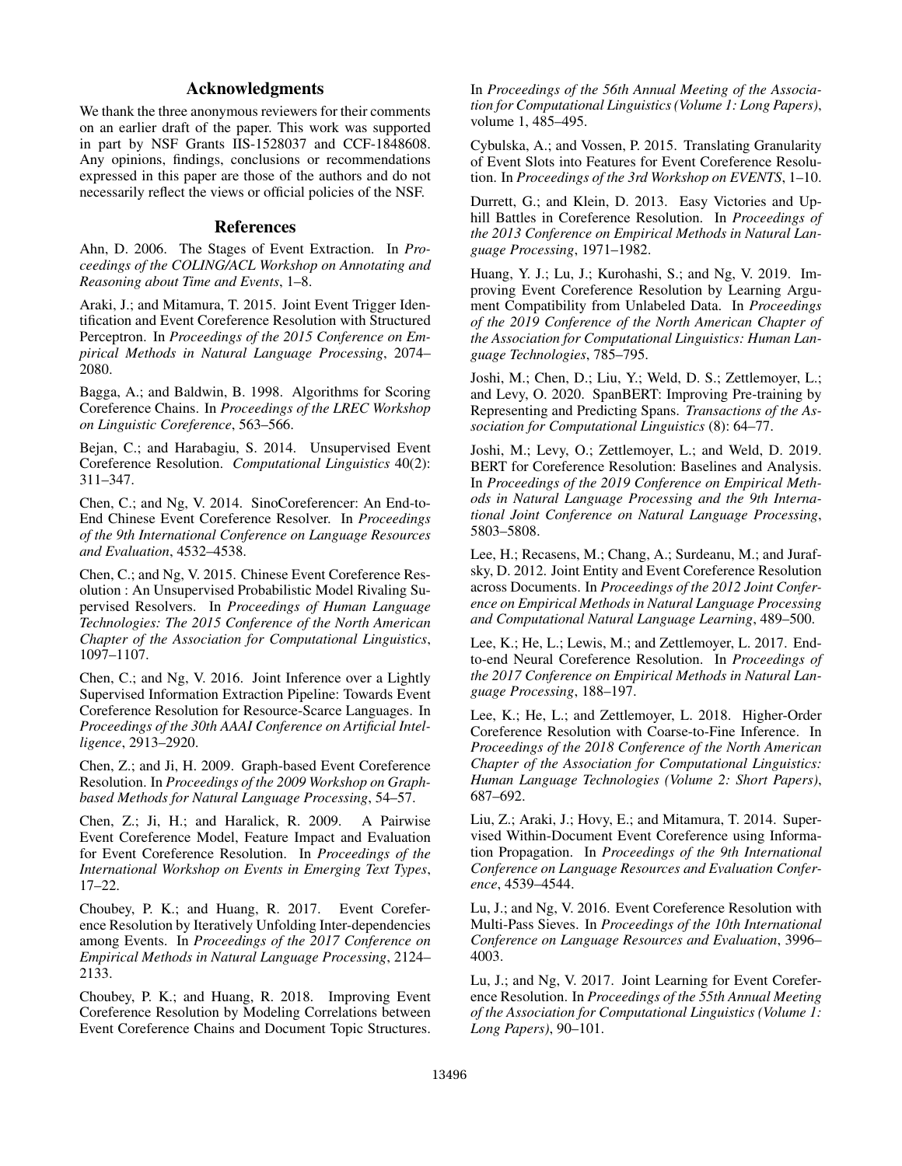# Acknowledgments

We thank the three anonymous reviewers for their comments on an earlier draft of the paper. This work was supported in part by NSF Grants IIS-1528037 and CCF-1848608. Any opinions, findings, conclusions or recommendations expressed in this paper are those of the authors and do not necessarily reflect the views or official policies of the NSF.

## References

Ahn, D. 2006. The Stages of Event Extraction. In *Proceedings of the COLING/ACL Workshop on Annotating and Reasoning about Time and Events*, 1–8.

Araki, J.; and Mitamura, T. 2015. Joint Event Trigger Identification and Event Coreference Resolution with Structured Perceptron. In *Proceedings of the 2015 Conference on Empirical Methods in Natural Language Processing*, 2074– 2080.

Bagga, A.; and Baldwin, B. 1998. Algorithms for Scoring Coreference Chains. In *Proceedings of the LREC Workshop on Linguistic Coreference*, 563–566.

Bejan, C.; and Harabagiu, S. 2014. Unsupervised Event Coreference Resolution. *Computational Linguistics* 40(2): 311–347.

Chen, C.; and Ng, V. 2014. SinoCoreferencer: An End-to-End Chinese Event Coreference Resolver. In *Proceedings of the 9th International Conference on Language Resources and Evaluation*, 4532–4538.

Chen, C.; and Ng, V. 2015. Chinese Event Coreference Resolution : An Unsupervised Probabilistic Model Rivaling Supervised Resolvers. In *Proceedings of Human Language Technologies: The 2015 Conference of the North American Chapter of the Association for Computational Linguistics*, 1097–1107.

Chen, C.; and Ng, V. 2016. Joint Inference over a Lightly Supervised Information Extraction Pipeline: Towards Event Coreference Resolution for Resource-Scarce Languages. In *Proceedings of the 30th AAAI Conference on Artificial Intelligence*, 2913–2920.

Chen, Z.; and Ji, H. 2009. Graph-based Event Coreference Resolution. In *Proceedings of the 2009 Workshop on Graphbased Methods for Natural Language Processing*, 54–57.

Chen, Z.; Ji, H.; and Haralick, R. 2009. A Pairwise Event Coreference Model, Feature Impact and Evaluation for Event Coreference Resolution. In *Proceedings of the International Workshop on Events in Emerging Text Types*, 17–22.

Choubey, P. K.; and Huang, R. 2017. Event Coreference Resolution by Iteratively Unfolding Inter-dependencies among Events. In *Proceedings of the 2017 Conference on Empirical Methods in Natural Language Processing*, 2124– 2133.

Choubey, P. K.; and Huang, R. 2018. Improving Event Coreference Resolution by Modeling Correlations between Event Coreference Chains and Document Topic Structures. In *Proceedings of the 56th Annual Meeting of the Association for Computational Linguistics (Volume 1: Long Papers)*, volume 1, 485–495.

Cybulska, A.; and Vossen, P. 2015. Translating Granularity of Event Slots into Features for Event Coreference Resolution. In *Proceedings of the 3rd Workshop on EVENTS*, 1–10.

Durrett, G.; and Klein, D. 2013. Easy Victories and Uphill Battles in Coreference Resolution. In *Proceedings of the 2013 Conference on Empirical Methods in Natural Language Processing*, 1971–1982.

Huang, Y. J.; Lu, J.; Kurohashi, S.; and Ng, V. 2019. Improving Event Coreference Resolution by Learning Argument Compatibility from Unlabeled Data. In *Proceedings of the 2019 Conference of the North American Chapter of the Association for Computational Linguistics: Human Language Technologies*, 785–795.

Joshi, M.; Chen, D.; Liu, Y.; Weld, D. S.; Zettlemoyer, L.; and Levy, O. 2020. SpanBERT: Improving Pre-training by Representing and Predicting Spans. *Transactions of the Association for Computational Linguistics* (8): 64–77.

Joshi, M.; Levy, O.; Zettlemoyer, L.; and Weld, D. 2019. BERT for Coreference Resolution: Baselines and Analysis. In *Proceedings of the 2019 Conference on Empirical Methods in Natural Language Processing and the 9th International Joint Conference on Natural Language Processing*, 5803–5808.

Lee, H.; Recasens, M.; Chang, A.; Surdeanu, M.; and Jurafsky, D. 2012. Joint Entity and Event Coreference Resolution across Documents. In *Proceedings of the 2012 Joint Conference on Empirical Methods in Natural Language Processing and Computational Natural Language Learning*, 489–500.

Lee, K.; He, L.; Lewis, M.; and Zettlemoyer, L. 2017. Endto-end Neural Coreference Resolution. In *Proceedings of the 2017 Conference on Empirical Methods in Natural Language Processing*, 188–197.

Lee, K.; He, L.; and Zettlemoyer, L. 2018. Higher-Order Coreference Resolution with Coarse-to-Fine Inference. In *Proceedings of the 2018 Conference of the North American Chapter of the Association for Computational Linguistics: Human Language Technologies (Volume 2: Short Papers)*, 687–692.

Liu, Z.; Araki, J.; Hovy, E.; and Mitamura, T. 2014. Supervised Within-Document Event Coreference using Information Propagation. In *Proceedings of the 9th International Conference on Language Resources and Evaluation Conference*, 4539–4544.

Lu, J.; and Ng, V. 2016. Event Coreference Resolution with Multi-Pass Sieves. In *Proceedings of the 10th International Conference on Language Resources and Evaluation*, 3996– 4003.

Lu, J.; and Ng, V. 2017. Joint Learning for Event Coreference Resolution. In *Proceedings of the 55th Annual Meeting of the Association for Computational Linguistics (Volume 1: Long Papers)*, 90–101.